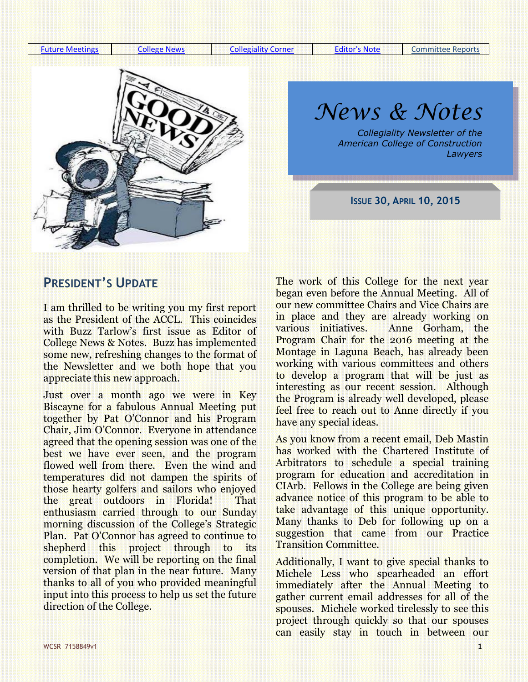<span id="page-0-0"></span>[Future Meetings](#page-1-0) [College News](#page-1-1) [Collegiality Corner](#page-5-0) | [Editor's Note](#page-4-0) | [Committee Reports](#page-0-0)



*News & Notes*

*Collegiality Newsletter of the American College of Construction Lawyers*

#### **ISSUE 30, APRIL 10, 2015**

### **PRESIDENT'S UPDATE**

I am thrilled to be writing you my first report as the President of the ACCL. This coincides with Buzz Tarlow's first issue as Editor of College News & Notes. Buzz has implemented some new, refreshing changes to the format of the Newsletter and we both hope that you appreciate this new approach.

Just over a month ago we were in Key Biscayne for a fabulous Annual Meeting put together by Pat O'Connor and his Program Chair, Jim O'Connor. Everyone in attendance agreed that the opening session was one of the best we have ever seen, and the program flowed well from there. Even the wind and temperatures did not dampen the spirits of those hearty golfers and sailors who enjoyed the great outdoors in Florida! That enthusiasm carried through to our Sunday morning discussion of the College's Strategic Plan. Pat O'Connor has agreed to continue to shepherd this project through to its completion. We will be reporting on the final version of that plan in the near future. Many thanks to all of you who provided meaningful input into this process to help us set the future direction of the College.

The work of this College for the next year began even before the Annual Meeting. All of our new committee Chairs and Vice Chairs are in place and they are already working on various initiatives. Anne Gorham, the Program Chair for the 2016 meeting at the Montage in Laguna Beach, has already been working with various committees and others to develop a program that will be just as interesting as our recent session. Although the Program is already well developed, please feel free to reach out to Anne directly if you have any special ideas.

As you know from a recent email, Deb Mastin has worked with the Chartered Institute of Arbitrators to schedule a special training program for education and accreditation in CIArb. Fellows in the College are being given advance notice of this program to be able to take advantage of this unique opportunity. Many thanks to Deb for following up on a suggestion that came from our Practice Transition Committee.

Additionally, I want to give special thanks to Michele Less who spearheaded an effort immediately after the Annual Meeting to gather current email addresses for all of the spouses. Michele worked tirelessly to see this project through quickly so that our spouses can easily stay in touch in between our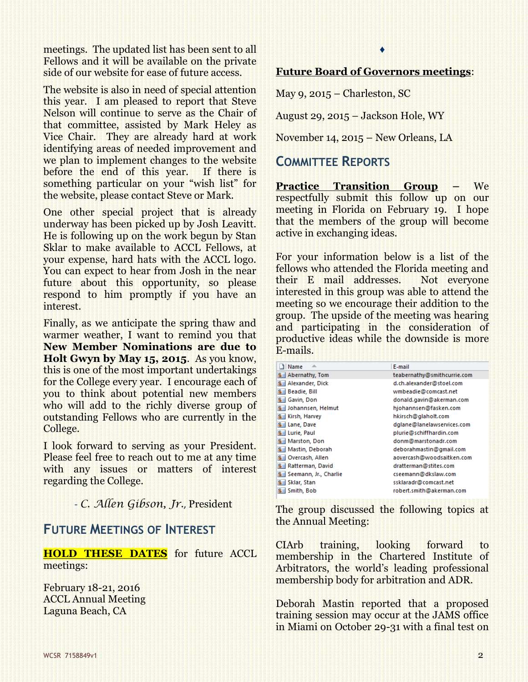meetings. The updated list has been sent to all Fellows and it will be available on the private side of our website for ease of future access.

The website is also in need of special attention this year. I am pleased to report that Steve Nelson will continue to serve as the Chair of that committee, assisted by Mark Heley as Vice Chair. They are already hard at work identifying areas of needed improvement and we plan to implement changes to the website before the end of this year. If there is something particular on your "wish list" for the website, please contact Steve or Mark.

One other special project that is already underway has been picked up by Josh Leavitt. He is following up on the work begun by Stan Sklar to make available to ACCL Fellows, at your expense, hard hats with the ACCL logo. You can expect to hear from Josh in the near future about this opportunity, so please respond to him promptly if you have an interest.

Finally, as we anticipate the spring thaw and warmer weather, I want to remind you that **New Member Nominations are due to Holt Gwyn by May 15, 2015**. As you know, this is one of the most important undertakings for the College every year. I encourage each of you to think about potential new members who will add to the richly diverse group of outstanding Fellows who are currently in the College.

I look forward to serving as your President. Please feel free to reach out to me at any time with any issues or matters of interest regarding the College.

- *C. Allen Gibson, Jr.*, President

### <span id="page-1-0"></span>**FUTURE MEETINGS OF INTEREST**

**HOLD THESE DATES** for future ACCL meetings:

February 18-21, 2016 ACCL Annual Meeting Laguna Beach, CA

### **Future Board of Governors meetings**:

♦

May 9, 2015 – Charleston, SC

August 29, 2015 – Jackson Hole, WY

November 14, 2015 – New Orleans, LA

### <span id="page-1-1"></span>**COMMITTEE REPORTS**

**Practice Transition Group –** We respectfully submit this follow up on our meeting in Florida on February 19. I hope that the members of the group will become active in exchanging ideas.

For your information below is a list of the fellows who attended the Florida meeting and their E mail addresses. Not everyone interested in this group was able to attend the meeting so we encourage their addition to the group. The upside of the meeting was hearing and participating in the consideration of productive ideas while the downside is more E-mails.

| Name                           | E-mail                      |
|--------------------------------|-----------------------------|
| §≡ Abernathy, Tom              | teabernathy@smithcurrie.com |
| <b>&amp;</b> ≡ Alexander, Dick | d.ch.alexander@stoel.com    |
| $S =$<br>Beadie, Bill          | wmbeadie@comcast.net        |
| <b>&amp;</b> ≡ Gavin, Don      | donald.gavin@akerman.com    |
| <b>&amp;</b> Johannsen, Helmut | hjohannsen@fasken.com       |
| <b>&amp;</b> Kirsh, Harvey     | hkirsch@glaholt.com         |
| <b>&amp;</b> ≡ Lane, Dave      | dglane@lanelawservices.com  |
| <b>S</b> ≡ Lurie, Paul         | plurie@schiffhardin.com     |
| <b>&amp;</b> Marston, Don      | donm@marstonadr.com         |
| <b>&amp;</b> Mastin, Deborah   | deborahmastin@gmail.com     |
| s⊫<br>Overcash, Allen          | aovercash@woodsaitken.com   |
| 8≡ Ratterman, David            | dratterman@stites.com       |
| S Seemann, Jr., Charlie        | cseemann@dkslaw.com         |
| 8≡ Sklar, Stan                 | ssklaradr@comcast.net       |
| Smith, Bob                     | robert.smith@akerman.com    |
|                                |                             |

The group discussed the following topics at the Annual Meeting:

CIArb training, looking forward to membership in the Chartered Institute of Arbitrators, the world's leading professional membership body for arbitration and ADR.

Deborah Mastin reported that a proposed training session may occur at the JAMS office in Miami on October 29-31 with a final test on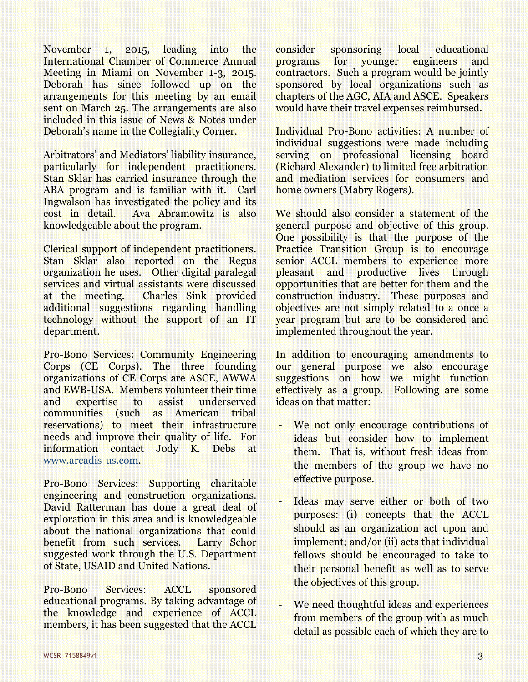November 1, 2015, leading into the International Chamber of Commerce Annual Meeting in Miami on November 1-3, 2015. Deborah has since followed up on the arrangements for this meeting by an email sent on March 25. The arrangements are also included in this issue of News & Notes under Deborah's name in the Collegiality Corner.

Arbitrators' and Mediators' liability insurance, particularly for independent practitioners. Stan Sklar has carried insurance through the ABA program and is familiar with it. Carl Ingwalson has investigated the policy and its cost in detail. Ava Abramowitz is also knowledgeable about the program.

Clerical support of independent practitioners. Stan Sklar also reported on the Regus organization he uses. Other digital paralegal services and virtual assistants were discussed<br>at the meeting. Charles Sink provided Charles Sink provided additional suggestions regarding handling technology without the support of an IT department.

Pro-Bono Services: Community Engineering Corps (CE Corps). The three founding organizations of CE Corps are ASCE, AWWA and EWB-USA. Members volunteer their time and expertise to assist underserved communities (such as American tribal reservations) to meet their infrastructure needs and improve their quality of life. For information contact Jody K. Debs at [www.arcadis-us.com.](http://www.arcadis-us.com/)

Pro-Bono Services: Supporting charitable engineering and construction organizations. David Ratterman has done a great deal of exploration in this area and is knowledgeable about the national organizations that could benefit from such services. Larry Schor suggested work through the U.S. Department of State, USAID and United Nations.

Pro-Bono Services: ACCL sponsored educational programs. By taking advantage of the knowledge and experience of ACCL members, it has been suggested that the ACCL consider sponsoring local educational programs for younger engineers and contractors. Such a program would be jointly sponsored by local organizations such as chapters of the AGC, AIA and ASCE. Speakers would have their travel expenses reimbursed.

Individual Pro-Bono activities: A number of individual suggestions were made including serving on professional licensing board (Richard Alexander) to limited free arbitration and mediation services for consumers and home owners (Mabry Rogers).

We should also consider a statement of the general purpose and objective of this group. One possibility is that the purpose of the Practice Transition Group is to encourage senior ACCL members to experience more pleasant and productive lives through opportunities that are better for them and the construction industry. These purposes and objectives are not simply related to a once a year program but are to be considered and implemented throughout the year.

In addition to encouraging amendments to our general purpose we also encourage suggestions on how we might function effectively as a group. Following are some ideas on that matter:

- We not only encourage contributions of ideas but consider how to implement them. That is, without fresh ideas from the members of the group we have no effective purpose.
- Ideas may serve either or both of two purposes: (i) concepts that the ACCL should as an organization act upon and implement; and/or (ii) acts that individual fellows should be encouraged to take to their personal benefit as well as to serve the objectives of this group.
- We need thoughtful ideas and experiences from members of the group with as much detail as possible each of which they are to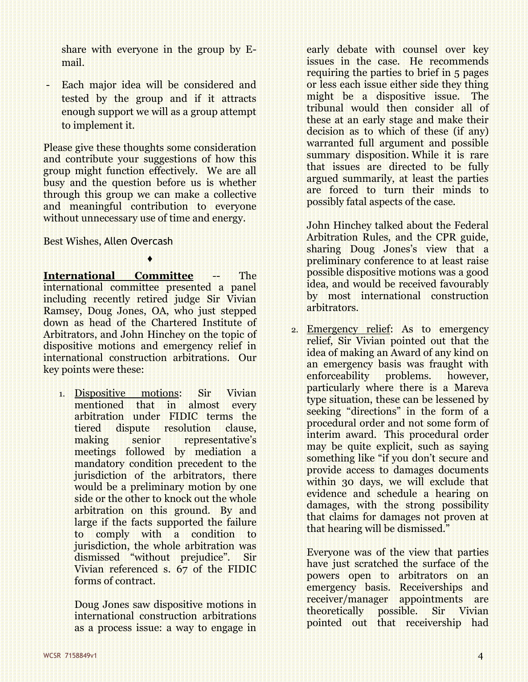share with everyone in the group by Email.

Each major idea will be considered and tested by the group and if it attracts enough support we will as a group attempt to implement it.

Please give these thoughts some consideration and contribute your suggestions of how this group might function effectively. We are all busy and the question before us is whether through this group we can make a collective and meaningful contribution to everyone without unnecessary use of time and energy.

Best Wishes, Allen Overcash

**International Committee** -- The international committee presented a panel including recently retired judge Sir Vivian Ramsey, Doug Jones, OA, who just stepped down as head of the Chartered Institute of Arbitrators, and John Hinchey on the topic of dispositive motions and emergency relief in international construction arbitrations. Our key points were these:

♦

1. Dispositive motions: Sir Vivian mentioned that in almost every arbitration under FIDIC terms the tiered dispute resolution clause, making senior representative's meetings followed by mediation a mandatory condition precedent to the jurisdiction of the arbitrators, there would be a preliminary motion by one side or the other to knock out the whole arbitration on this ground. By and large if the facts supported the failure to comply with a condition to jurisdiction, the whole arbitration was dismissed "without prejudice". Sir Vivian referenced s. 67 of the FIDIC forms of contract.

Doug Jones saw dispositive motions in international construction arbitrations as a process issue: a way to engage in

early debate with counsel over key issues in the case. He recommends requiring the parties to brief in 5 pages or less each issue either side they thing might be a dispositive issue. The tribunal would then consider all of these at an early stage and make their decision as to which of these (if any) warranted full argument and possible summary disposition. While it is rare that issues are directed to be fully argued summarily, at least the parties are forced to turn their minds to possibly fatal aspects of the case.

John Hinchey talked about the Federal Arbitration Rules, and the CPR guide, sharing Doug Jones's view that a preliminary conference to at least raise possible dispositive motions was a good idea, and would be received favourably by most international construction arbitrators.

2. Emergency relief: As to emergency relief, Sir Vivian pointed out that the idea of making an Award of any kind on an emergency basis was fraught with enforceability problems. however, particularly where there is a Mareva type situation, these can be lessened by seeking "directions" in the form of a procedural order and not some form of interim award. This procedural order may be quite explicit, such as saying something like "if you don't secure and provide access to damages documents within 30 days, we will exclude that evidence and schedule a hearing on damages, with the strong possibility that claims for damages not proven at that hearing will be dismissed."

Everyone was of the view that parties have just scratched the surface of the powers open to arbitrators on an emergency basis. Receiverships and receiver/manager appointments are theoretically possible. Sir Vivian pointed out that receivership had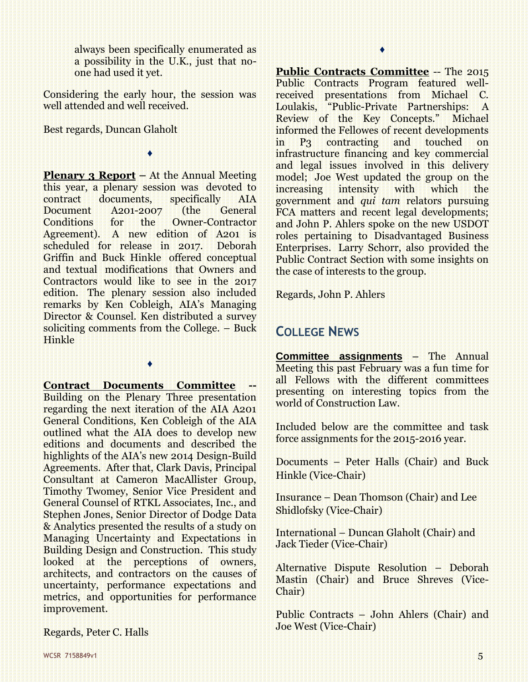always been specifically enumerated as a possibility in the U.K., just that noone had used it yet.

Considering the early hour, the session was well attended and well received.

**♦**

Best regards, Duncan Glaholt

**Plenary 3 Report –** At the Annual Meeting this year, a plenary session was devoted to contract documents, specifically AIA Document A201-2007 (the General Conditions for the Owner-Contractor Agreement). A new edition of A201 is scheduled for release in 2017. Deborah Griffin and Buck Hinkle offered conceptual and textual modifications that Owners and Contractors would like to see in the 2017 edition. The plenary session also included remarks by Ken Cobleigh, AIA's Managing Director & Counsel. Ken distributed a survey soliciting comments from the College. – Buck Hinkle

**♦**

**Contract Documents Committee --** Building on the Plenary Three presentation regarding the next iteration of the AIA A201 General Conditions, Ken Cobleigh of the AIA outlined what the AIA does to develop new editions and documents and described the highlights of the AIA's new 2014 Design-Build Agreements. After that, Clark Davis, Principal Consultant at Cameron MacAllister Group, Timothy Twomey, Senior Vice President and General Counsel of RTKL Associates, Inc., and Stephen Jones, Senior Director of Dodge Data & Analytics presented the results of a study on Managing Uncertainty and Expectations in Building Design and Construction. This study looked at the perceptions of owners, architects, and contractors on the causes of uncertainty, performance expectations and metrics, and opportunities for performance improvement.

### Regards, Peter C. Halls

**Public Contracts Committee** -- The 2015 Public Contracts Program featured wellreceived presentations from Michael C. Loulakis, "Public-Private Partnerships: A Review of the Key Concepts." Michael informed the Fellowes of recent developments in P3 contracting and touched on infrastructure financing and key commercial and legal issues involved in this delivery model; Joe West updated the group on the increasing intensity with which the government and *qui tam* relators pursuing FCA matters and recent legal developments; and John P. Ahlers spoke on the new USDOT roles pertaining to Disadvantaged Business Enterprises. Larry Schorr, also provided the Public Contract Section with some insights on the case of interests to the group.

Regards, John P. Ahlers

# **COLLEGE NEWS**

<span id="page-4-0"></span>**Committee assignments** – The Annual Meeting this past February was a fun time for all Fellows with the different committees presenting on interesting topics from the world of Construction Law.

Included below are the committee and task force assignments for the 2015-2016 year.

Documents – Peter Halls (Chair) and Buck Hinkle (Vice-Chair)

Insurance – Dean Thomson (Chair) and Lee Shidlofsky(Vice-Chair)

International – Duncan Glaholt (Chair) and Jack Tieder (Vice-Chair)

Alternative Dispute Resolution – Deborah Mastin (Chair) and Bruce Shreves (Vice-Chair)

Public Contracts – John Ahlers (Chair) and Joe West (Vice-Chair)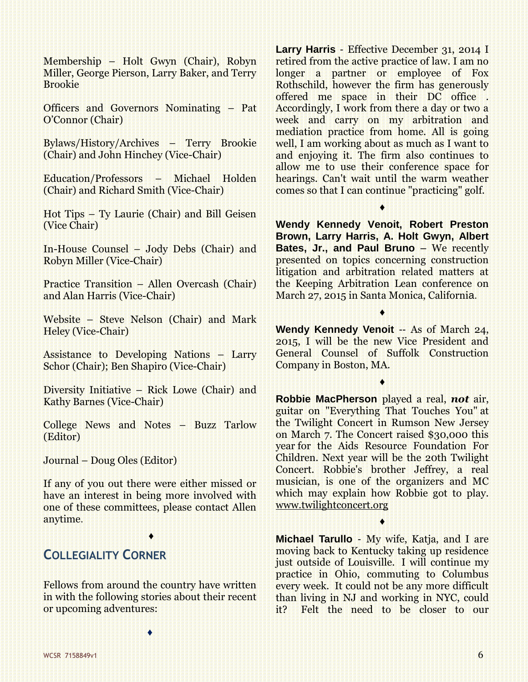Membership – Holt Gwyn (Chair), Robyn Miller, George Pierson, Larry Baker, and Terry Brookie

Officers and Governors Nominating – Pat O'Connor (Chair)

Bylaws/History/Archives – Terry Brookie (Chair) and John Hinchey (Vice-Chair)

Education/Professors – Michael Holden (Chair) and Richard Smith (Vice-Chair)

Hot Tips – Ty Laurie (Chair) and Bill Geisen (Vice Chair)

In-House Counsel – Jody Debs (Chair) and Robyn Miller (Vice-Chair)

Practice Transition – Allen Overcash (Chair) and Alan Harris (Vice-Chair)

Website – Steve Nelson (Chair) and Mark Heley (Vice-Chair)

Assistance to Developing Nations – Larry Schor (Chair); Ben Shapiro (Vice-Chair)

Diversity Initiative – Rick Lowe (Chair) and Kathy Barnes (Vice-Chair)

College News and Notes – Buzz Tarlow (Editor)

Journal – Doug Oles (Editor)

If any of you out there were either missed or have an interest in being more involved with one of these committees, please contact Allen anytime.

#### ♦

## <span id="page-5-0"></span>**COLLEGIALITY CORNER**

Fellows from around the country have written in with the following stories about their recent or upcoming adventures:

**♦**

**Larry Harris** - Effective December 31, 2014 I retired from the active practice of law. I am no longer a partner or employee of Fox Rothschild, however the firm has generously offered me space in their DC office . Accordingly, I work from there a day or two a week and carry on my arbitration and mediation practice from home. All is going well, I am working about as much as I want to and enjoying it. The firm also continues to allow me to use their conference space for hearings. Can't wait until the warm weather comes so that I can continue "practicing" golf.

**Wendy Kennedy Venoit, Robert Preston Brown, Larry Harris, A. Holt Gwyn, Albert Bates, Jr., and Paul Bruno** – We recently presented on topics concerning construction litigation and arbitration related matters at the Keeping Arbitration Lean conference on March 27, 2015 in Santa Monica, California.

♦

**Wendy Kennedy Venoit** -- As of March 24, 2015, I will be the new Vice President and General Counsel of Suffolk Construction Company in Boston, MA.

♦

♦

**Robbie MacPherson** played a real, *not* air, guitar on "Everything That Touches You" at the Twilight Concert in Rumson New Jersey on March 7. The Concert raised \$30,000 this year for the Aids Resource Foundation For Children. Next year will be the 20th Twilight Concert. Robbie's brother Jeffrey, a real musician, is one of the organizers and MC which may explain how Robbie got to play. [www.twilightconcert.org](http://www.twilightconcert.org/)

### ♦

**Michael Tarullo** - My wife, Katja, and I are moving back to Kentucky taking up residence just outside of Louisville. I will continue my practice in Ohio, commuting to Columbus every week. It could not be any more difficult than living in NJ and working in NYC, could it? Felt the need to be closer to our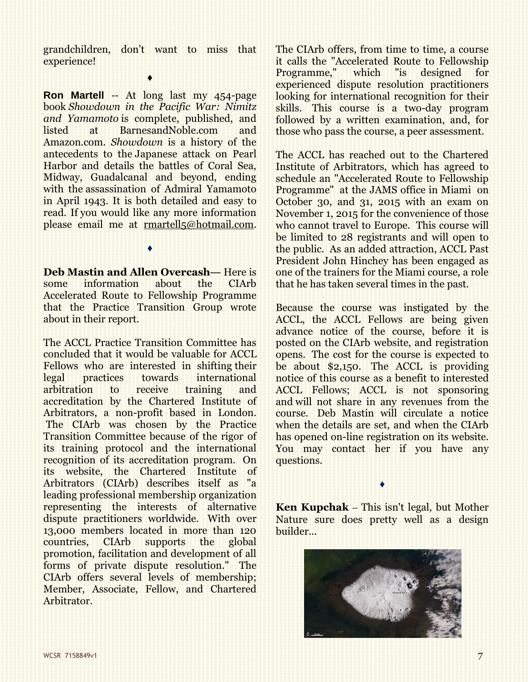grandchildren, don't want to miss that experience!

♦

**Ron Martell** -- At long last my 454-page book *Showdown in the Pacific War: Nimitz and Yamamoto* is complete, published, and listed at BarnesandNoble.com and Amazon.com. *Showdown* is a history of the antecedents to the Japanese attack on Pearl Harbor and details the battles of Coral Sea, Midway, Guadalcanal and beyond, ending with the assassination of Admiral Yamamoto in April 1943. It is both detailed and easy to read. If you would like any more information please email me at [rmartell5@hotmail.com.](mailto:rmartell5@hotmail.com)

**Deb Mastin and Allen Overcash**— Here is some information about the CIArb Accelerated Route to Fellowship Programme that the Practice Transition Group wrote about in their report.

♦

The ACCL Practice Transition Committee has concluded that it would be valuable for ACCL Fellows who are interested in shifting their legal practices towards international arbitration to receive training and accreditation by the Chartered Institute of Arbitrators, a non-profit based in London. The CIArb was chosen by the Practice Transition Committee because of the rigor of its training protocol and the international recognition of its accreditation program. On its website, the Chartered Institute of Arbitrators (CIArb) describes itself as "a leading professional membership organization representing the interests of alternative dispute practitioners worldwide. With over 13,000 members located in more than 120 countries, CIArb supports the global promotion, facilitation and development of all forms of private dispute resolution." The CIArb offers several levels of membership; Member, Associate, Fellow, and Chartered Arbitrator.

The CIArb offers, from time to time, a course it calls the "Accelerated Route to Fellowship Programme," which "is designed for experienced dispute resolution practitioners looking for international recognition for their skills. This course is a two-day program followed by a written examination, and, for those who pass the course, a peer assessment.

The ACCL has reached out to the Chartered Institute of Arbitrators, which has agreed to schedule an "Accelerated Route to Fellowship Programme" at the JAMS office in Miami on October 30, and 31, 2015 with an exam on November 1, 2015 for the convenience of those who cannot travel to Europe. This course will be limited to 28 registrants and will open to the public. As an added attraction, ACCL Past President John Hinchey has been engaged as one of the trainers for the Miami course, a role that he has taken several times in the past.

Because the course was instigated by the ACCL, the ACCL Fellows are being given advance notice of the course, before it is posted on the CIArb website, and registration opens. The cost for the course is expected to be about \$2,150. The ACCL is providing notice of this course as a benefit to interested ACCL Fellows; ACCL is not sponsoring and will not share in any revenues from the course. Deb Mastin will circulate a notice when the details are set, and when the CIArb has opened on-line registration on its website. You may contact her if you have any questions.

**Ken Kupchak** -- This isn't legal, but Mother Nature sure does pretty well as a design builder...

♦

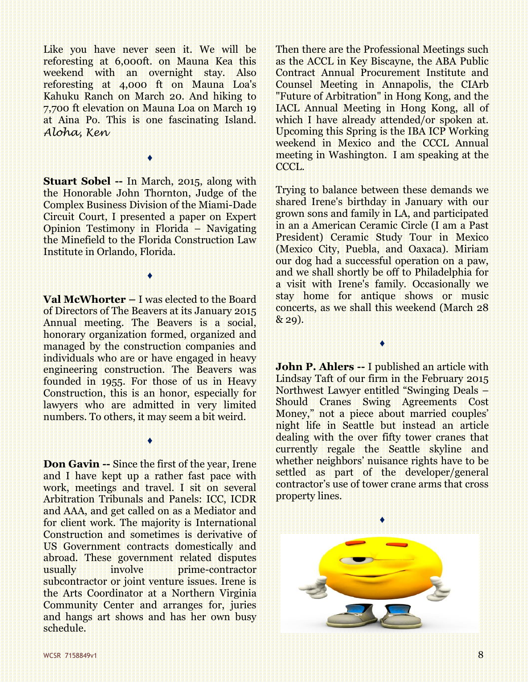Like you have never seen it. We will be reforesting at 6,000ft. on Mauna Kea this weekend with an overnight stay. Also reforesting at 4,000 ft on Mauna Loa's Kahuku Ranch on March 20. And hiking to 7,700 ft elevation on Mauna Loa on March 19 at Aina Po. This is one fascinating Island. *Aloha, Ken*

**Stuart Sobel --** In March, 2015, along with the Honorable John Thornton, Judge of the Complex Business Division of the Miami-Dade Circuit Court, I presented a paper on Expert Opinion Testimony in Florida – Navigating the Minefield to the Florida Construction Law Institute in Orlando, Florida.

♦

♦

**Val McWhorter –** I was elected to the Board of Directors of The Beavers at its January 2015 Annual meeting. The Beavers is a social, honorary organization formed, organized and managed by the construction companies and individuals who are or have engaged in heavy engineering construction. The Beavers was founded in 1955. For those of us in Heavy Construction, this is an honor, especially for lawyers who are admitted in very limited numbers. To others, it may seem a bit weird.

♦

**Don Gavin --** Since the first of the year, Irene and I have kept up a rather fast pace with work, meetings and travel. I sit on several Arbitration Tribunals and Panels: ICC, ICDR and AAA, and get called on as a Mediator and for client work. The majority is International Construction and sometimes is derivative of US Government contracts domestically and abroad. These government related disputes usually involve prime-contractor subcontractor or joint venture issues. Irene is the Arts Coordinator at a Northern Virginia Community Center and arranges for, juries and hangs art shows and has her own busy schedule.

Then there are the Professional Meetings such as the ACCL in Key Biscayne, the ABA Public Contract Annual Procurement Institute and Counsel Meeting in Annapolis, the CIArb "Future of Arbitration" in Hong Kong, and the IACL Annual Meeting in Hong Kong, all of which I have already attended/or spoken at. Upcoming this Spring is the IBA ICP Working weekend in Mexico and the CCCL Annual meeting in Washington. I am speaking at the CCCL.

Trying to balance between these demands we shared Irene's birthday in January with our grown sons and family in LA, and participated in an a American Ceramic Circle (I am a Past President) Ceramic Study Tour in Mexico (Mexico City, Puebla, and Oaxaca). Miriam our dog had a successful operation on a paw, and we shall shortly be off to Philadelphia for a visit with Irene's family. Occasionally we stay home for antique shows or music concerts, as we shall this weekend (March 28 & 29).

**John P. Ahlers --** I published an article with Lindsay Taft of our firm in the February 2015 Northwest Lawyer entitled "Swinging Deals – Should Cranes Swing Agreements Cost Money," not a piece about married couples' night life in Seattle but instead an article dealing with the over fifty tower cranes that currently regale the Seattle skyline and whether neighbors' nuisance rights have to be settled as part of the developer/general contractor's use of tower crane arms that cross property lines.

♦